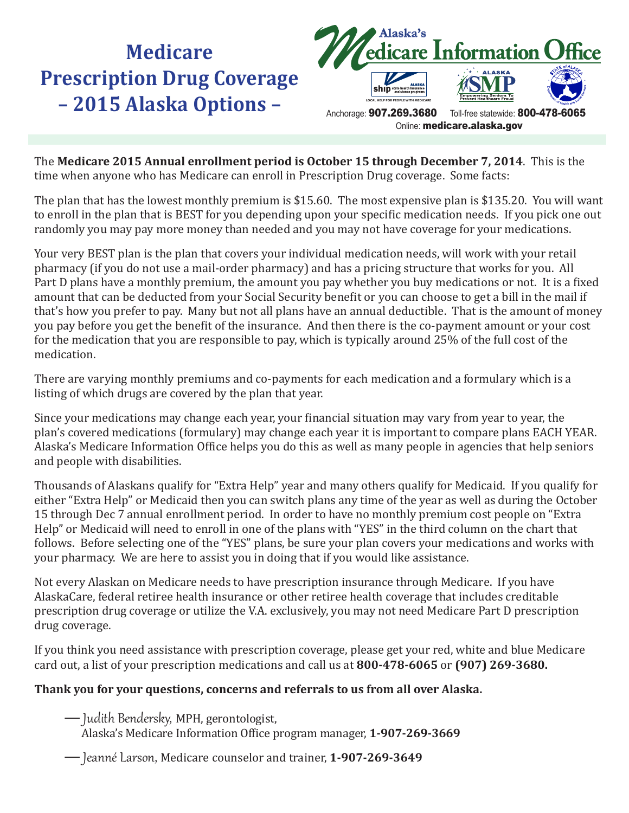## **Medicare Prescription Drug Coverage – 2015 Alaska Options –**



The **Medicare 2015 Annual enrollment period is October 15 through December 7, 2014**. This is the time when anyone who has Medicare can enroll in Prescription Drug coverage. Some facts:

The plan that has the lowest monthly premium is \$15.60. The most expensive plan is \$135.20. You will want to enroll in the plan that is BEST for you depending upon your specific medication needs. If you pick one out randomly you may pay more money than needed and you may not have coverage for your medications.

Your very BEST plan is the plan that covers your individual medication needs, will work with your retail pharmacy (if you do not use a mail-order pharmacy) and has a pricing structure that works for you. All Part D plans have a monthly premium, the amount you pay whether you buy medications or not. It is a fixed amount that can be deducted from your Social Security benefit or you can choose to get a bill in the mail if that's how you prefer to pay. Many but not all plans have an annual deductible. That is the amount of money you pay before you get the benefit of the insurance. And then there is the co-payment amount or your cost for the medication that you are responsible to pay, which is typically around 25% of the full cost of the medication.

There are varying monthly premiums and co-payments for each medication and a formulary which is a listing of which drugs are covered by the plan that year.

Since your medications may change each year, your financial situation may vary from year to year, the plan's covered medications (formulary) may change each year it is important to compare plans EACH YEAR. Alaska's Medicare Information Office helps you do this as well as many people in agencies that help seniors and people with disabilities.

Thousands of Alaskans qualify for "Extra Help" year and many others qualify for Medicaid. If you qualify for either "Extra Help" or Medicaid then you can switch plans any time of the year as well as during the October 15 through Dec 7 annual enrollment period. In order to have no monthly premium cost people on "Extra Help" or Medicaid will need to enroll in one of the plans with "YES" in the third column on the chart that follows. Before selecting one of the "YES" plans, be sure your plan covers your medications and works with your pharmacy. We are here to assist you in doing that if you would like assistance.

Not every Alaskan on Medicare needs to have prescription insurance through Medicare. If you have AlaskaCare, federal retiree health insurance or other retiree health coverage that includes creditable prescription drug coverage or utilize the V.A. exclusively, you may not need Medicare Part D prescription drug coverage.

If you think you need assistance with prescription coverage, please get your red, white and blue Medicare card out, a list of your prescription medications and call us at **800-478-6065** or **(907) 269-3680.**

## **Thank you for your questions, concerns and referrals to us from all over Alaska.**

— Judith Bendersky, MPH, gerontologist,

Alaska's Medicare Information Office program manager, **1-907-269-3669**

— Jeanné Larson, Medicare counselor and trainer, **1-907-269-3649**